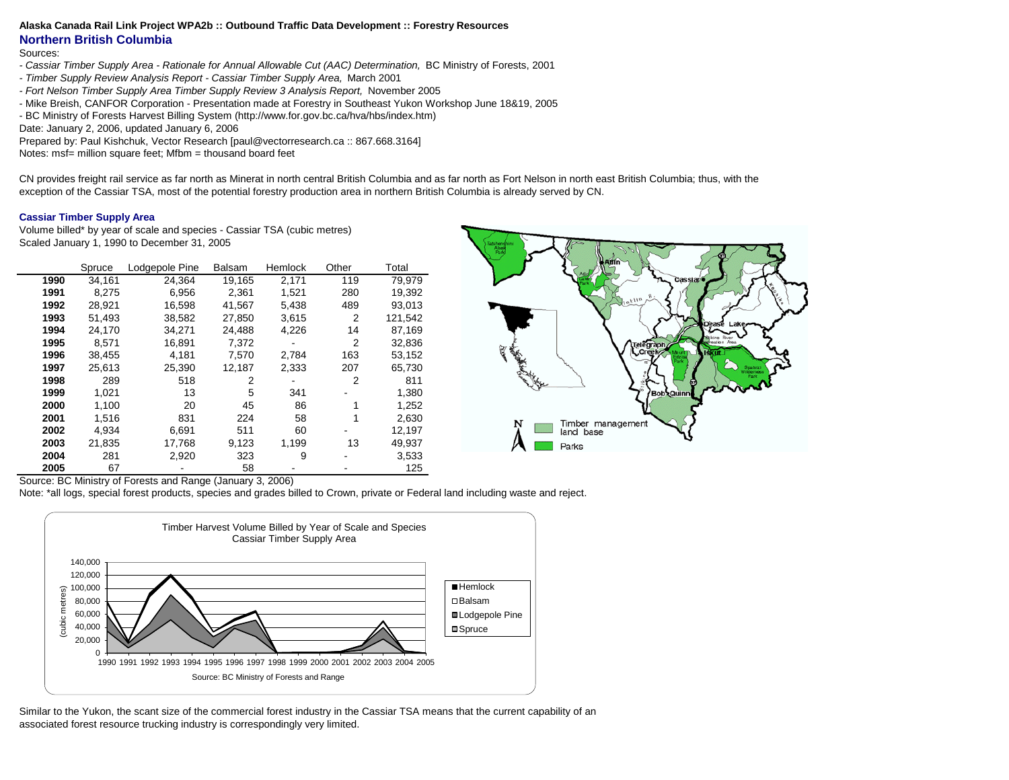#### **Alaska Canada Rail Link Project WPA2b :: Outbound Traffic Data Development :: Forestry Resources**

## **Northern British Columbia**

#### Sources:

- *Cassiar Timber Supply Area Rationale for Annual Allowable Cut (AAC) Determination,* BC Ministry of Forests, 2001
- *Timber Supply Review Analysis Report Cassiar Timber Supply Area,* March 2001
- *Fort Nelson Timber Supply Area Timber Supply Review 3 Analysis Report,* November 2005
- Mike Breish, CANFOR Corporation Presentation made at Forestry in Southeast Yukon Workshop June 18&19, 2005
- BC Ministry of Forests Harvest Billing System (http://www.for.gov.bc.ca/hva/hbs/index.htm)
- Date: January 2, 2006, updated January 6, 2006

Prepared by: Paul Kishchuk, Vector Research [paul@vectorresearch.ca :: 867.668.3164]

Notes: msf= million square feet; Mfbm = thousand board feet

CN provides freight rail service as far north as Minerat in north central British Columbia and as far north as Fort Nelson in north east British Columbia; thus, with the exception of the Cassiar TSA, most of the potential forestry production area in northern British Columbia is already served by CN.

#### **Cassiar Timber Supply Area**

Volume billed\* by year of scale and species - Cassiar TSA (cubic metres) Scaled January 1, 1990 to December 31, 2005

|      | Spruce | Lodgepole Pine | <b>Balsam</b> | Hemlock | Other          | Total   |
|------|--------|----------------|---------------|---------|----------------|---------|
| 1990 | 34.161 | 24,364         | 19.165        | 2,171   | 119            | 79.979  |
| 1991 | 8.275  | 6,956          | 2.361         | 1.521   | 280            | 19,392  |
| 1992 | 28.921 | 16,598         | 41.567        | 5,438   | 489            | 93.013  |
| 1993 | 51,493 | 38,582         | 27,850        | 3,615   | $\overline{2}$ | 121,542 |
| 1994 | 24.170 | 34,271         | 24.488        | 4,226   | 14             | 87,169  |
| 1995 | 8.571  | 16,891         | 7.372         |         | 2              | 32,836  |
| 1996 | 38.455 | 4.181          | 7.570         | 2.784   | 163            | 53,152  |
| 1997 | 25,613 | 25,390         | 12,187        | 2,333   | 207            | 65,730  |
| 1998 | 289    | 518            | 2             |         | 2              | 811     |
| 1999 | 1.021  | 13             | 5             | 341     |                | 1,380   |
| 2000 | 1.100  | 20             | 45            | 86      |                | 1,252   |
| 2001 | 1,516  | 831            | 224           | 58      |                | 2,630   |
| 2002 | 4.934  | 6,691          | 511           | 60      |                | 12,197  |
| 2003 | 21.835 | 17,768         | 9,123         | 1,199   | 13             | 49,937  |
| 2004 | 281    | 2,920          | 323           | 9       |                | 3.533   |
| 2005 | 67     |                | 58            |         |                | 125     |



Source: BC Ministry of Forests and Range (January 3, 2006)

Note: \*all logs, special forest products, species and grades billed to Crown, private or Federal land including waste and reject.



Similar to the Yukon, the scant size of the commercial forest industry in the Cassiar TSA means that the current capability of an associated forest resource trucking industry is correspondingly very limited.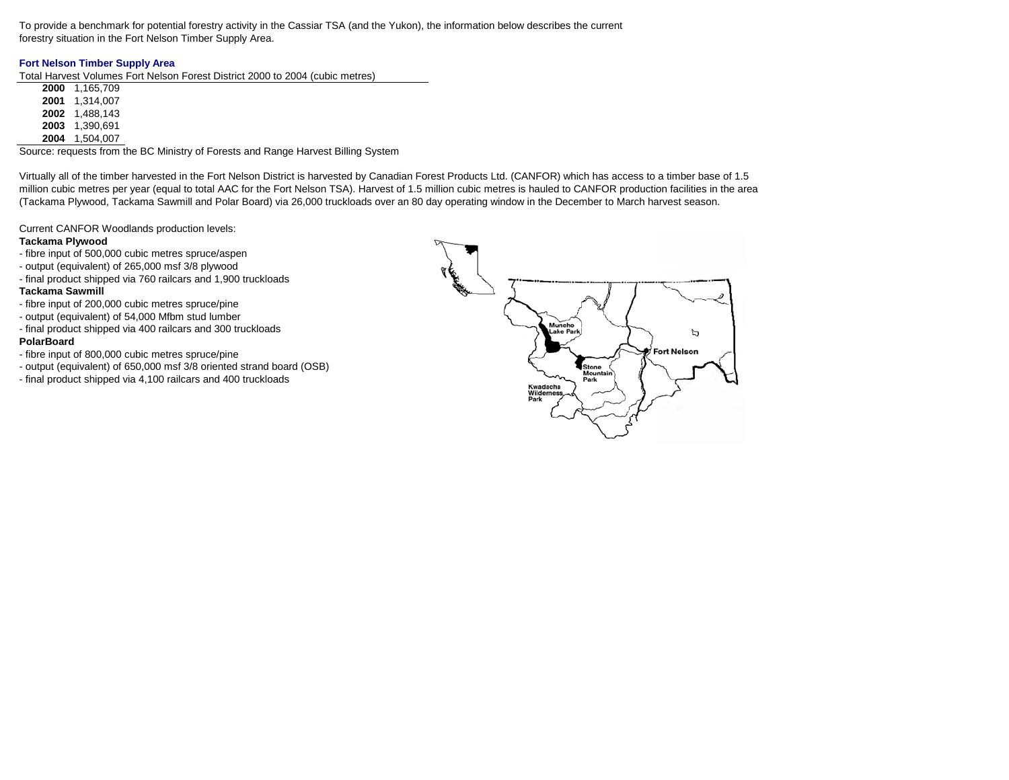To provide a benchmark for potential forestry activity in the Cassiar TSA (and the Yukon), the information below describes the current forestry situation in the Fort Nelson Timber Supply Area.

## **Fort Nelson Timber Supply Area**

Total Harvest Volumes Fort Nelson Forest District 2000 to 2004 (cubic metres)

 1,165,709 1,314,007 1,488,143 1,390,691 1,504,007

Source: requests from the BC Ministry of Forests and Range Harvest Billing System

Virtually all of the timber harvested in the Fort Nelson District is harvested by Canadian Forest Products Ltd. (CANFOR) which has access to a timber base of 1.5 million cubic metres per year (equal to total AAC for the Fort Nelson TSA). Harvest of 1.5 million cubic metres is hauled to CANFOR production facilities in the area (Tackama Plywood, Tackama Sawmill and Polar Board) via 26,000 truckloads over an 80 day operating window in the December to March harvest season.

Current CANFOR Woodlands production levels:

### **Tackama Plywood**

- fibre input of 500,000 cubic metres spruce/aspen
- output (equivalent) of 265,000 msf 3/8 plywood
- final product shipped via 760 railcars and 1,900 truckloads

### **Tackama Sawmill**

- fibre input of 200,000 cubic metres spruce/pine
- output (equivalent) of 54,000 Mfbm stud lumber
- final product shipped via 400 railcars and 300 truckloads

### **PolarBoard**

- fibre input of 800,000 cubic metres spruce/pine
- output (equivalent) of 650,000 msf 3/8 oriented strand board (OSB)
- final product shipped via 4,100 railcars and 400 truckloads

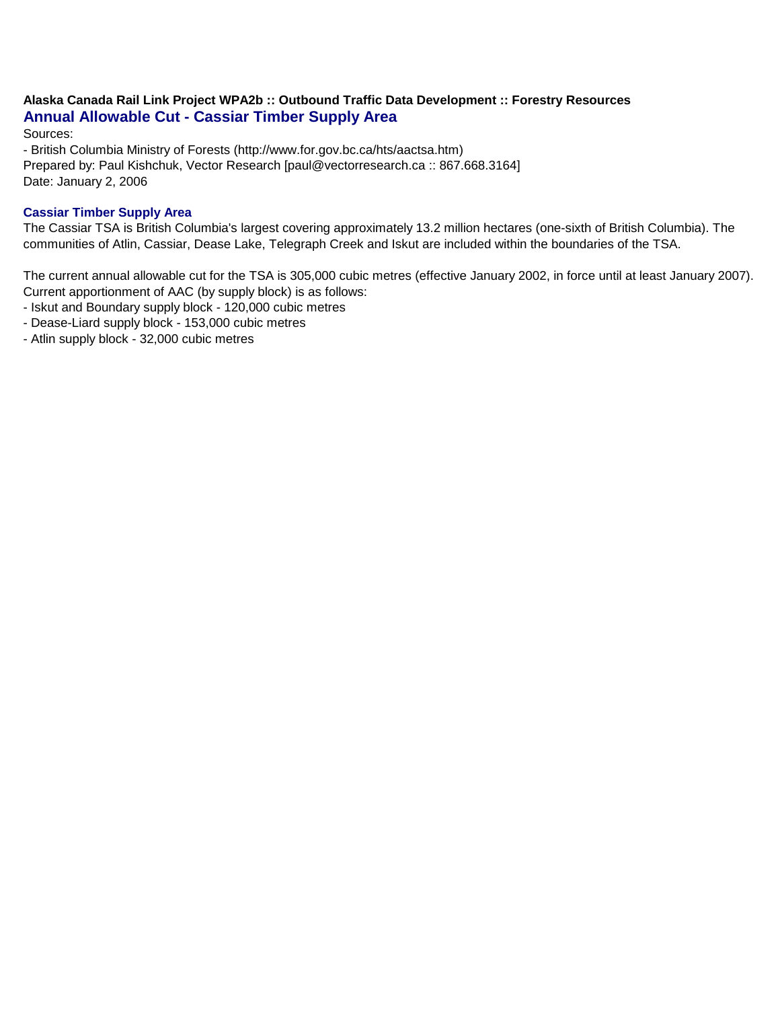# **Alaska Canada Rail Link Project WPA2b :: Outbound Traffic Data Development :: Forestry Resources Annual Allowable Cut - Cassiar Timber Supply Area**

Sources:

- British Columbia Ministry of Forests (http://www.for.gov.bc.ca/hts/aactsa.htm) Prepared by: Paul Kishchuk, Vector Research [paul@vectorresearch.ca :: 867.668.3164] Date: January 2, 2006

# **Cassiar Timber Supply Area**

The Cassiar TSA is British Columbia's largest covering approximately 13.2 million hectares (one-sixth of British Columbia). The communities of Atlin, Cassiar, Dease Lake, Telegraph Creek and Iskut are included within the boundaries of the TSA.

The current annual allowable cut for the TSA is 305,000 cubic metres (effective January 2002, in force until at least January 2007). Current apportionment of AAC (by supply block) is as follows:

- Iskut and Boundary supply block - 120,000 cubic metres

- Dease-Liard supply block 153,000 cubic metres
- Atlin supply block 32,000 cubic metres